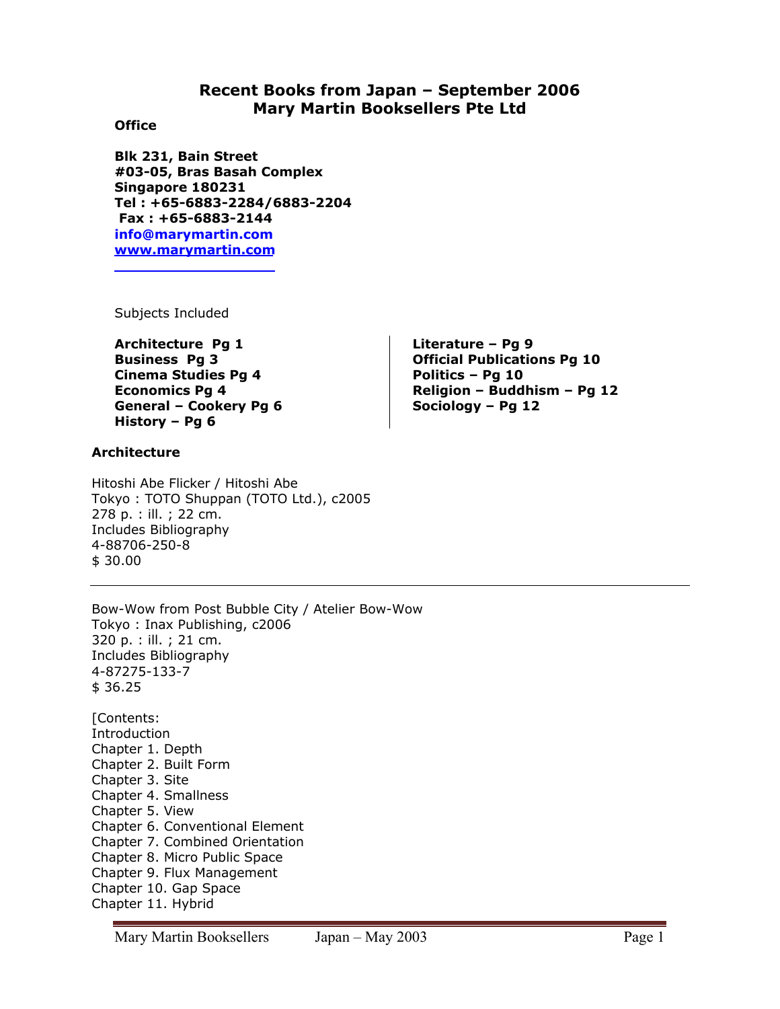# **Recent Books from Japan – September 2006 Mary Martin Booksellers Pte Ltd**

### **Office**

**Blk 231, Bain Street #03-05, Bras Basah Complex Singapore 180231 Tel : +65-6883-2284/6883-2204 Fax : +65-6883-2144 info@marymartin.com www.marymartin.com**

Subjects Included

**Architecture Pg 1 Business Pg 3 Cinema Studies Pg 4 Economics Pg 4 General – Cookery Pg 6 History – Pg 6** 

## **Architecture**

Hitoshi Abe Flicker / Hitoshi Abe Tokyo : TOTO Shuppan (TOTO Ltd.), c2005 278 p. : ill. ; 22 cm. Includes Bibliography 4-88706-250-8 \$ 30.00

Bow-Wow from Post Bubble City / Atelier Bow-Wow Tokyo : Inax Publishing, c2006 320 p. : ill. ; 21 cm. Includes Bibliography 4-87275-133-7 \$ 36.25 [Contents: Introduction Chapter 1. Depth Chapter 2. Built Form

Chapter 3. Site Chapter 4. Smallness Chapter 5. View Chapter 6. Conventional Element Chapter 7. Combined Orientation Chapter 8. Micro Public Space Chapter 9. Flux Management Chapter 10. Gap Space Chapter 11. Hybrid

**Literature – Pg 9 Official Publications Pg 10 Politics – Pg 10 Religion – Buddhism – Pg 12 Sociology – Pg 12**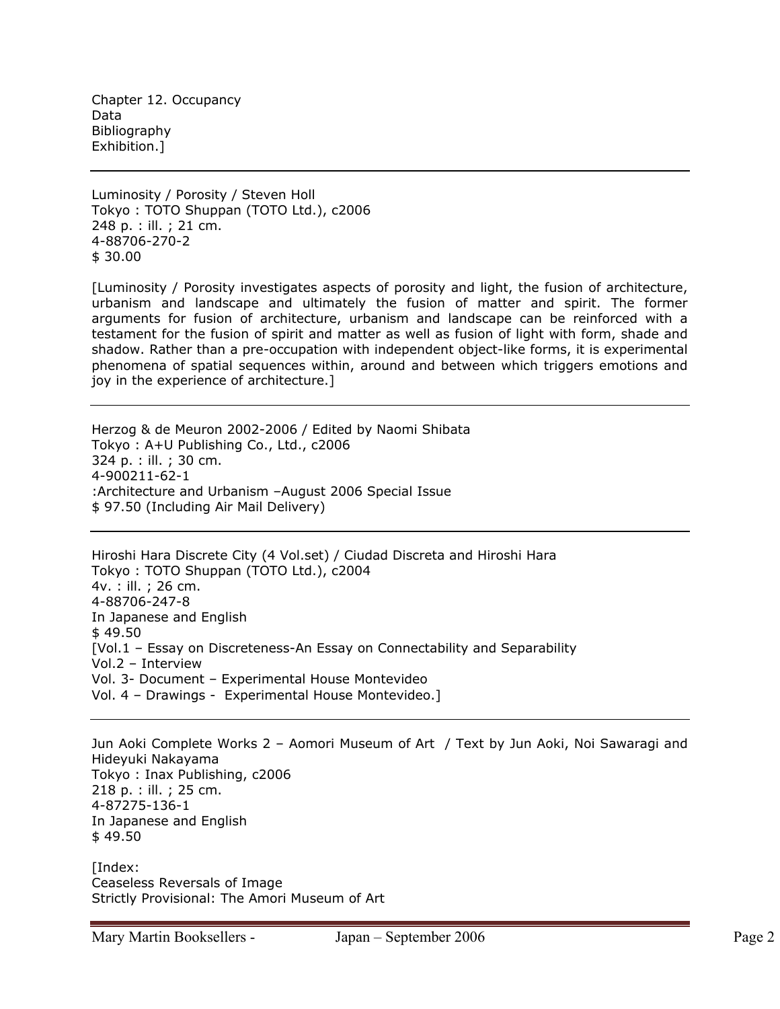Chapter 12. Occupancy Data Bibliography Exhibition.]

Luminosity / Porosity / Steven Holl Tokyo : TOTO Shuppan (TOTO Ltd.), c2006 248 p. : ill. ; 21 cm. 4-88706-270-2 \$ 30.00

[Luminosity / Porosity investigates aspects of porosity and light, the fusion of architecture, urbanism and landscape and ultimately the fusion of matter and spirit. The former arguments for fusion of architecture, urbanism and landscape can be reinforced with a testament for the fusion of spirit and matter as well as fusion of light with form, shade and shadow. Rather than a pre-occupation with independent object-like forms, it is experimental phenomena of spatial sequences within, around and between which triggers emotions and joy in the experience of architecture.]

Herzog & de Meuron 2002-2006 / Edited by Naomi Shibata Tokyo : A+U Publishing Co., Ltd., c2006 324 p. : ill. ; 30 cm. 4-900211-62-1 :Architecture and Urbanism –August 2006 Special Issue \$ 97.50 (Including Air Mail Delivery)

Hiroshi Hara Discrete City (4 Vol.set) / Ciudad Discreta and Hiroshi Hara Tokyo : TOTO Shuppan (TOTO Ltd.), c2004 4v. : ill. ; 26 cm. 4-88706-247-8 In Japanese and English  $$49.50$ [Vol.1 – Essay on Discreteness-An Essay on Connectability and Separability Vol.2 – Interview Vol. 3- Document – Experimental House Montevideo Vol. 4 – Drawings - Experimental House Montevideo.]

Jun Aoki Complete Works 2 – Aomori Museum of Art / Text by Jun Aoki, Noi Sawaragi and Hideyuki Nakayama Tokyo : Inax Publishing, c2006 218 p. : ill. ; 25 cm. 4-87275-136-1 In Japanese and English \$ 49.50

[Index: Ceaseless Reversals of Image Strictly Provisional: The Amori Museum of Art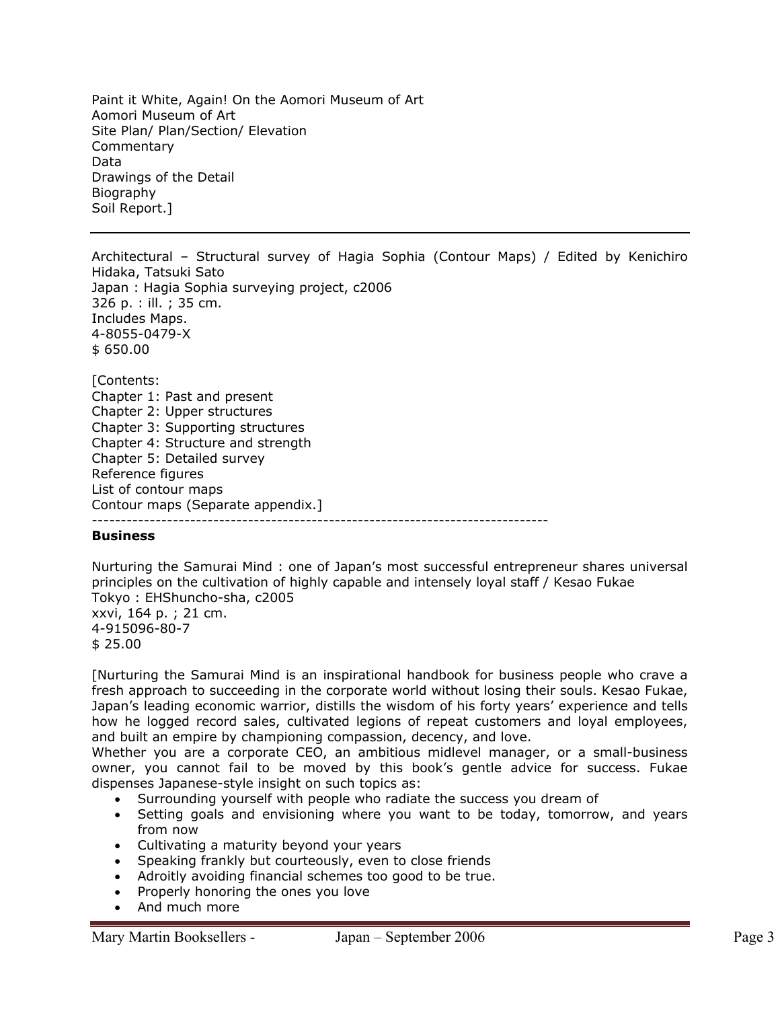Paint it White, Again! On the Aomori Museum of Art Aomori Museum of Art Site Plan/ Plan/Section/ Elevation **Commentary** Data Drawings of the Detail Biography Soil Report.]

Architectural – Structural survey of Hagia Sophia (Contour Maps) / Edited by Kenichiro Hidaka, Tatsuki Sato Japan : Hagia Sophia surveying project, c2006 326 p. : ill. ; 35 cm. Includes Maps. 4-8055-0479-X \$ 650.00 [Contents: Chapter 1: Past and present Chapter 2: Upper structures Chapter 3: Supporting structures Chapter 4: Structure and strength Chapter 5: Detailed survey Reference figures List of contour maps Contour maps (Separate appendix.] -------------------------------------------------------------------------------

#### **Business**

Nurturing the Samurai Mind : one of Japan's most successful entrepreneur shares universal principles on the cultivation of highly capable and intensely loyal staff / Kesao Fukae Tokyo : EHShuncho-sha, c2005 xxvi, 164 p. ; 21 cm. 4-915096-80-7 \$ 25.00

[Nurturing the Samurai Mind is an inspirational handbook for business people who crave a fresh approach to succeeding in the corporate world without losing their souls. Kesao Fukae, Japan's leading economic warrior, distills the wisdom of his forty years' experience and tells how he logged record sales, cultivated legions of repeat customers and loyal employees, and built an empire by championing compassion, decency, and love.

Whether you are a corporate CEO, an ambitious midlevel manager, or a small-business owner, you cannot fail to be moved by this book's gentle advice for success. Fukae dispenses Japanese-style insight on such topics as:

- Surrounding yourself with people who radiate the success you dream of
- Setting goals and envisioning where you want to be today, tomorrow, and years from now
- Cultivating a maturity beyond your years
- Speaking frankly but courteously, even to close friends
- Adroitly avoiding financial schemes too good to be true.
- Properly honoring the ones you love
- And much more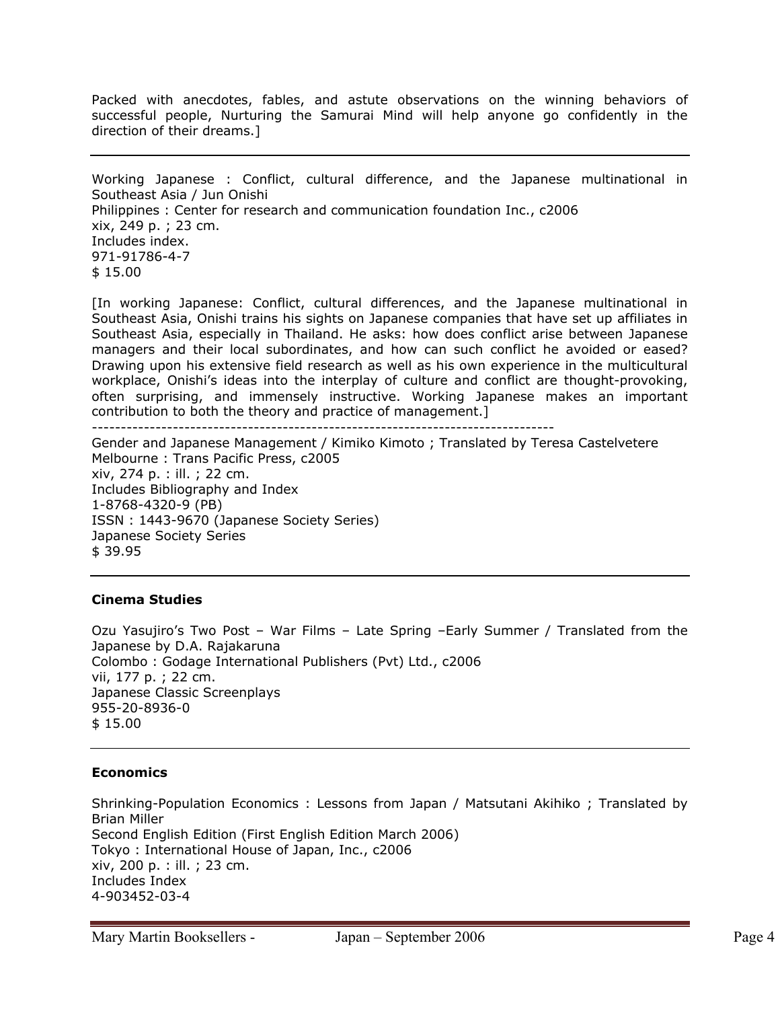Packed with anecdotes, fables, and astute observations on the winning behaviors of successful people, Nurturing the Samurai Mind will help anyone go confidently in the direction of their dreams.]

Working Japanese : Conflict, cultural difference, and the Japanese multinational in Southeast Asia / Jun Onishi Philippines : Center for research and communication foundation Inc., c2006 xix, 249 p. ; 23 cm. Includes index. 971-91786-4-7 \$ 15.00

[In working Japanese: Conflict, cultural differences, and the Japanese multinational in Southeast Asia, Onishi trains his sights on Japanese companies that have set up affiliates in Southeast Asia, especially in Thailand. He asks: how does conflict arise between Japanese managers and their local subordinates, and how can such conflict he avoided or eased? Drawing upon his extensive field research as well as his own experience in the multicultural workplace, Onishi's ideas into the interplay of culture and conflict are thought-provoking, often surprising, and immensely instructive. Working Japanese makes an important contribution to both the theory and practice of management.]

--------------------------------------------------------------------------------

Gender and Japanese Management / Kimiko Kimoto ; Translated by Teresa Castelvetere Melbourne : Trans Pacific Press, c2005 xiv, 274 p. : ill. ; 22 cm. Includes Bibliography and Index 1-8768-4320-9 (PB) ISSN : 1443-9670 (Japanese Society Series) Japanese Society Series \$ 39.95

### **Cinema Studies**

Ozu Yasujiro's Two Post – War Films – Late Spring –Early Summer / Translated from the Japanese by D.A. Rajakaruna Colombo : Godage International Publishers (Pvt) Ltd., c2006 vii, 177 p. ; 22 cm. Japanese Classic Screenplays 955-20-8936-0 \$ 15.00

#### **Economics**

Shrinking-Population Economics : Lessons from Japan / Matsutani Akihiko ; Translated by Brian Miller Second English Edition (First English Edition March 2006) Tokyo : International House of Japan, Inc., c2006 xiv, 200 p. : ill. ; 23 cm. Includes Index 4-903452-03-4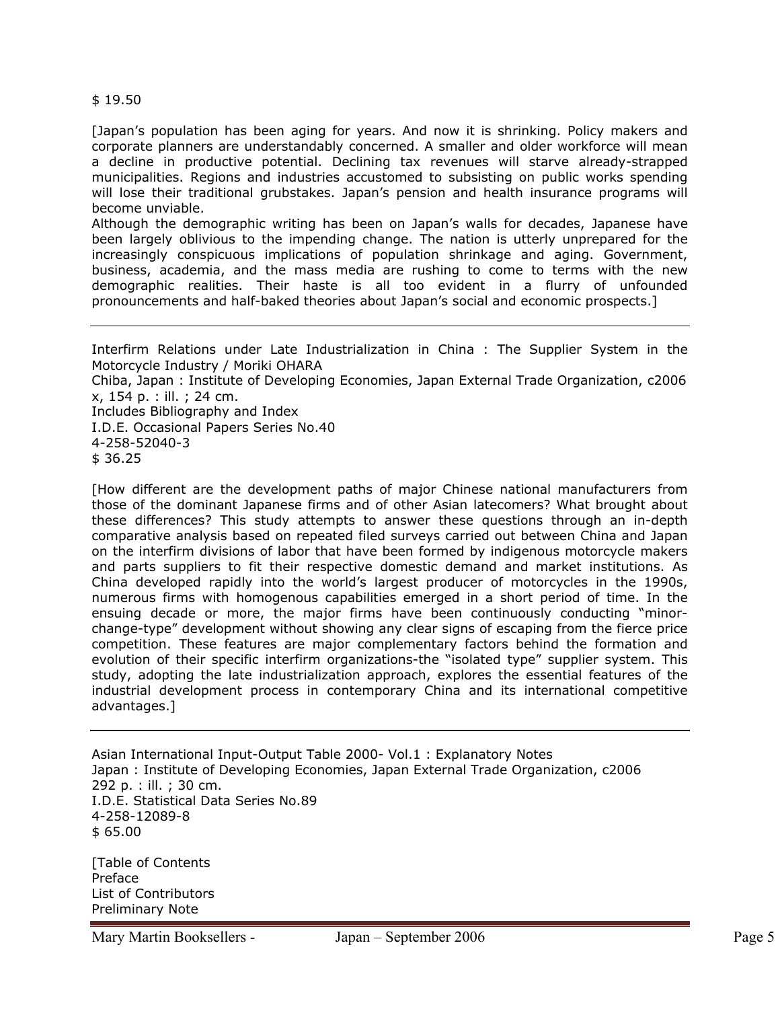\$ 19.50

[Japan's population has been aging for years. And now it is shrinking. Policy makers and corporate planners are understandably concerned. A smaller and older workforce will mean a decline in productive potential. Declining tax revenues will starve already-strapped municipalities. Regions and industries accustomed to subsisting on public works spending will lose their traditional grubstakes. Japan's pension and health insurance programs will become unviable.

Although the demographic writing has been on Japan's walls for decades, Japanese have been largely oblivious to the impending change. The nation is utterly unprepared for the increasingly conspicuous implications of population shrinkage and aging. Government, business, academia, and the mass media are rushing to come to terms with the new demographic realities. Their haste is all too evident in a flurry of unfounded pronouncements and half-baked theories about Japan's social and economic prospects.]

Interfirm Relations under Late Industrialization in China : The Supplier System in the Motorcycle Industry / Moriki OHARA Chiba, Japan : Institute of Developing Economies, Japan External Trade Organization, c2006 x, 154 p. : ill. ; 24 cm. Includes Bibliography and Index I.D.E. Occasional Papers Series No.40 4-258-52040-3 \$ 36.25

[How different are the development paths of major Chinese national manufacturers from those of the dominant Japanese firms and of other Asian latecomers? What brought about these differences? This study attempts to answer these questions through an in-depth comparative analysis based on repeated filed surveys carried out between China and Japan on the interfirm divisions of labor that have been formed by indigenous motorcycle makers and parts suppliers to fit their respective domestic demand and market institutions. As China developed rapidly into the world's largest producer of motorcycles in the 1990s, numerous firms with homogenous capabilities emerged in a short period of time. In the ensuing decade or more, the major firms have been continuously conducting "minorchange-type" development without showing any clear signs of escaping from the fierce price competition. These features are major complementary factors behind the formation and evolution of their specific interfirm organizations-the "isolated type" supplier system. This study, adopting the late industrialization approach, explores the essential features of the industrial development process in contemporary China and its international competitive advantages.]

Asian International Input-Output Table 2000- Vol.1 : Explanatory Notes Japan : Institute of Developing Economies, Japan External Trade Organization, c2006 292 p. : ill. ; 30 cm. I.D.E. Statistical Data Series No.89 4-258-12089-8 \$ 65.00

[Table of Contents Preface List of Contributors Preliminary Note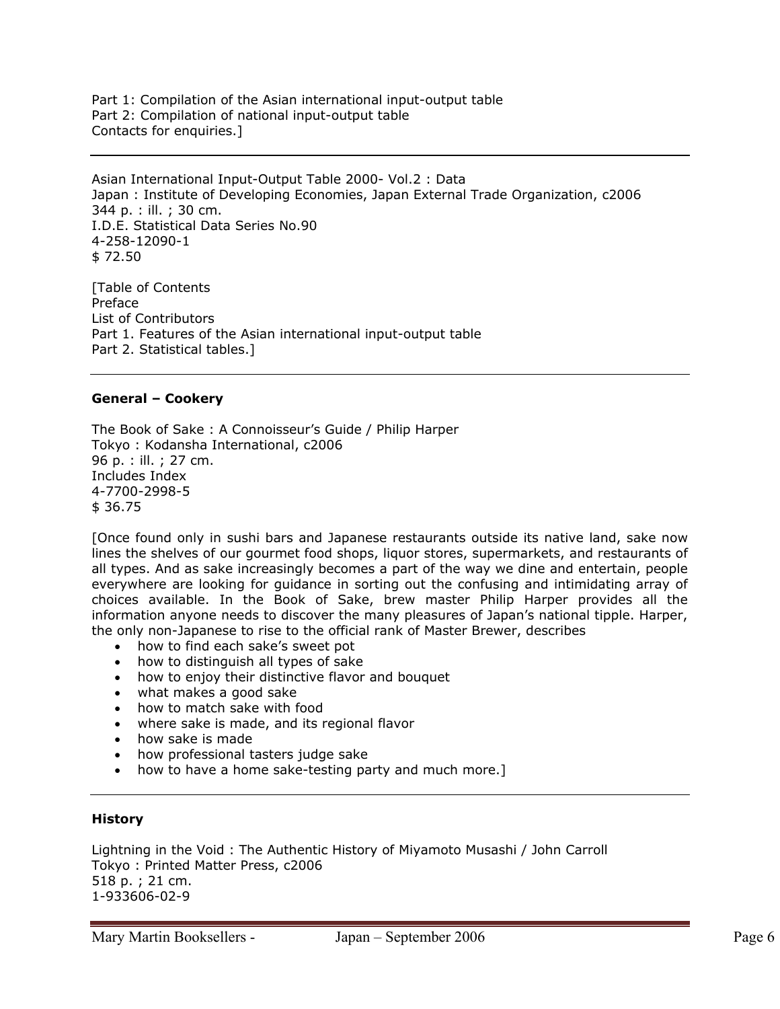Part 1: Compilation of the Asian international input-output table Part 2: Compilation of national input-output table Contacts for enquiries.]

Asian International Input-Output Table 2000- Vol.2 : Data Japan : Institute of Developing Economies, Japan External Trade Organization, c2006 344 p. : ill. ; 30 cm. I.D.E. Statistical Data Series No.90 4-258-12090-1 \$ 72.50

[Table of Contents Preface List of Contributors Part 1. Features of the Asian international input-output table Part 2. Statistical tables.]

#### **General – Cookery**

The Book of Sake : A Connoisseur's Guide / Philip Harper Tokyo : Kodansha International, c2006 96 p. : ill. ; 27 cm. Includes Index 4-7700-2998-5 \$ 36.75

[Once found only in sushi bars and Japanese restaurants outside its native land, sake now lines the shelves of our gourmet food shops, liquor stores, supermarkets, and restaurants of all types. And as sake increasingly becomes a part of the way we dine and entertain, people everywhere are looking for guidance in sorting out the confusing and intimidating array of choices available. In the Book of Sake, brew master Philip Harper provides all the information anyone needs to discover the many pleasures of Japan's national tipple. Harper, the only non-Japanese to rise to the official rank of Master Brewer, describes

- how to find each sake's sweet pot
- how to distinguish all types of sake
- how to enjoy their distinctive flavor and bouquet
- what makes a good sake
- how to match sake with food
- where sake is made, and its regional flavor
- how sake is made
- how professional tasters judge sake
- how to have a home sake-testing party and much more.]

#### **History**

Lightning in the Void : The Authentic History of Miyamoto Musashi / John Carroll Tokyo : Printed Matter Press, c2006 518 p. ; 21 cm. 1-933606-02-9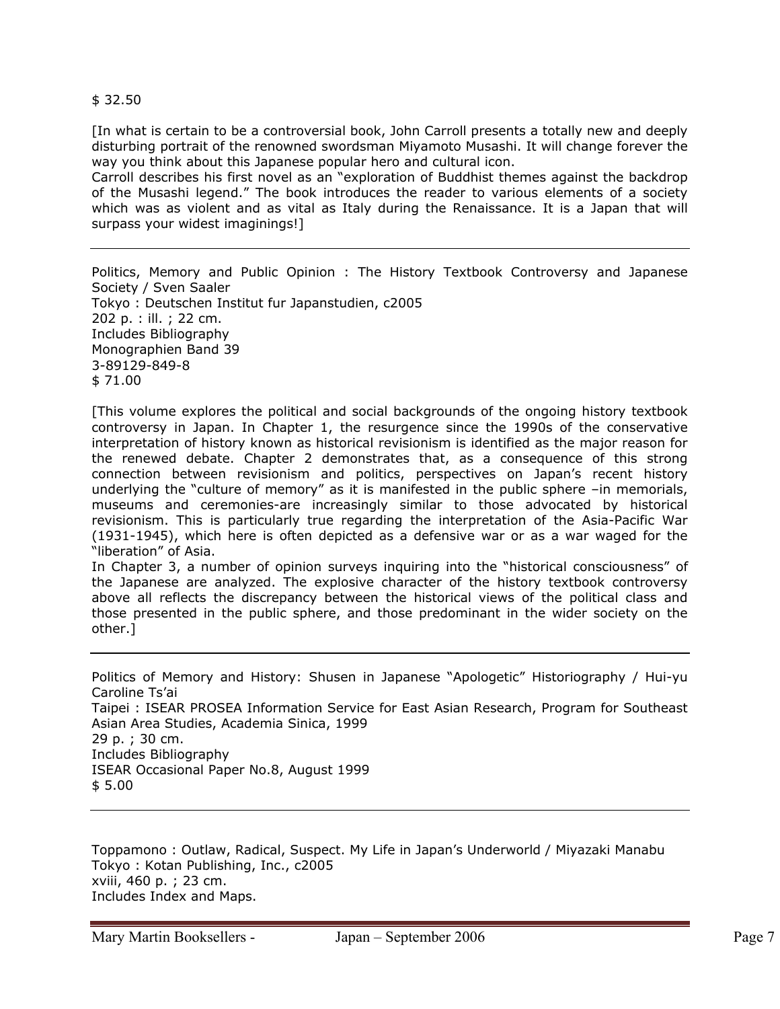\$ 32.50

[In what is certain to be a controversial book, John Carroll presents a totally new and deeply disturbing portrait of the renowned swordsman Miyamoto Musashi. It will change forever the way you think about this Japanese popular hero and cultural icon.

Carroll describes his first novel as an "exploration of Buddhist themes against the backdrop of the Musashi legend." The book introduces the reader to various elements of a society which was as violent and as vital as Italy during the Renaissance. It is a Japan that will surpass your widest imaginings!]

Politics, Memory and Public Opinion : The History Textbook Controversy and Japanese Society / Sven Saaler Tokyo : Deutschen Institut fur Japanstudien, c2005 202 p. : ill. ; 22 cm. Includes Bibliography Monographien Band 39 3-89129-849-8 \$ 71.00

[This volume explores the political and social backgrounds of the ongoing history textbook controversy in Japan. In Chapter 1, the resurgence since the 1990s of the conservative interpretation of history known as historical revisionism is identified as the major reason for the renewed debate. Chapter 2 demonstrates that, as a consequence of this strong connection between revisionism and politics, perspectives on Japan's recent history underlying the "culture of memory" as it is manifested in the public sphere -in memorials, museums and ceremonies-are increasingly similar to those advocated by historical revisionism. This is particularly true regarding the interpretation of the Asia-Pacific War (1931-1945), which here is often depicted as a defensive war or as a war waged for the "liberation" of Asia.

In Chapter 3, a number of opinion surveys inquiring into the "historical consciousness" of the Japanese are analyzed. The explosive character of the history textbook controversy above all reflects the discrepancy between the historical views of the political class and those presented in the public sphere, and those predominant in the wider society on the other.]

Politics of Memory and History: Shusen in Japanese "Apologetic" Historiography / Hui-yu Caroline Ts'ai Taipei : ISEAR PROSEA Information Service for East Asian Research, Program for Southeast Asian Area Studies, Academia Sinica, 1999 29 p. ; 30 cm. Includes Bibliography ISEAR Occasional Paper No.8, August 1999 \$ 5.00

Toppamono : Outlaw, Radical, Suspect. My Life in Japan's Underworld / Miyazaki Manabu Tokyo : Kotan Publishing, Inc., c2005 xviii, 460 p. ; 23 cm. Includes Index and Maps.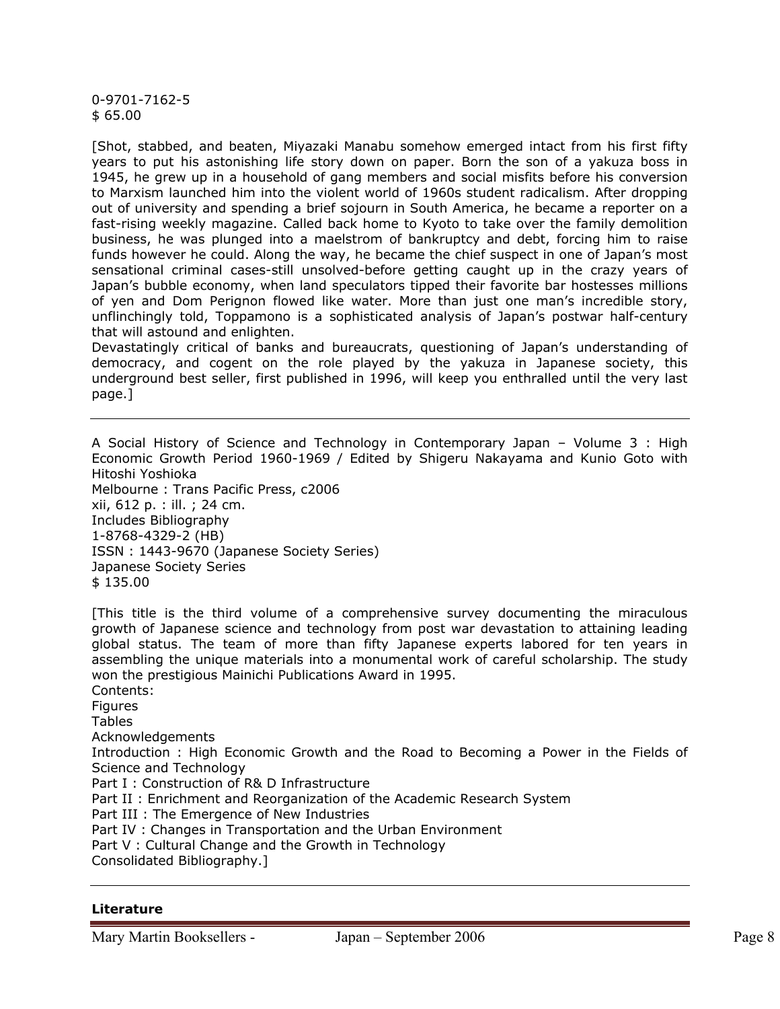0-9701-7162-5 \$ 65.00

[Shot, stabbed, and beaten, Miyazaki Manabu somehow emerged intact from his first fifty years to put his astonishing life story down on paper. Born the son of a yakuza boss in 1945, he grew up in a household of gang members and social misfits before his conversion to Marxism launched him into the violent world of 1960s student radicalism. After dropping out of university and spending a brief sojourn in South America, he became a reporter on a fast-rising weekly magazine. Called back home to Kyoto to take over the family demolition business, he was plunged into a maelstrom of bankruptcy and debt, forcing him to raise funds however he could. Along the way, he became the chief suspect in one of Japan's most sensational criminal cases-still unsolved-before getting caught up in the crazy years of Japan's bubble economy, when land speculators tipped their favorite bar hostesses millions of yen and Dom Perignon flowed like water. More than just one man's incredible story, unflinchingly told, Toppamono is a sophisticated analysis of Japan's postwar half-century that will astound and enlighten.

Devastatingly critical of banks and bureaucrats, questioning of Japan's understanding of democracy, and cogent on the role played by the yakuza in Japanese society, this underground best seller, first published in 1996, will keep you enthralled until the very last page.]

A Social History of Science and Technology in Contemporary Japan – Volume 3 : High Economic Growth Period 1960-1969 / Edited by Shigeru Nakayama and Kunio Goto with Hitoshi Yoshioka Melbourne : Trans Pacific Press, c2006 xii, 612 p. : ill. ; 24 cm. Includes Bibliography 1-8768-4329-2 (HB) ISSN : 1443-9670 (Japanese Society Series) Japanese Society Series \$ 135.00

[This title is the third volume of a comprehensive survey documenting the miraculous growth of Japanese science and technology from post war devastation to attaining leading global status. The team of more than fifty Japanese experts labored for ten years in assembling the unique materials into a monumental work of careful scholarship. The study won the prestigious Mainichi Publications Award in 1995. Contents: Figures **Tables** Acknowledgements Introduction : High Economic Growth and the Road to Becoming a Power in the Fields of Science and Technology Part I : Construction of R& D Infrastructure Part II : Enrichment and Reorganization of the Academic Research System

Part III : The Emergence of New Industries

Part IV : Changes in Transportation and the Urban Environment

Part V : Cultural Change and the Growth in Technology

Consolidated Bibliography.]

#### **Literature**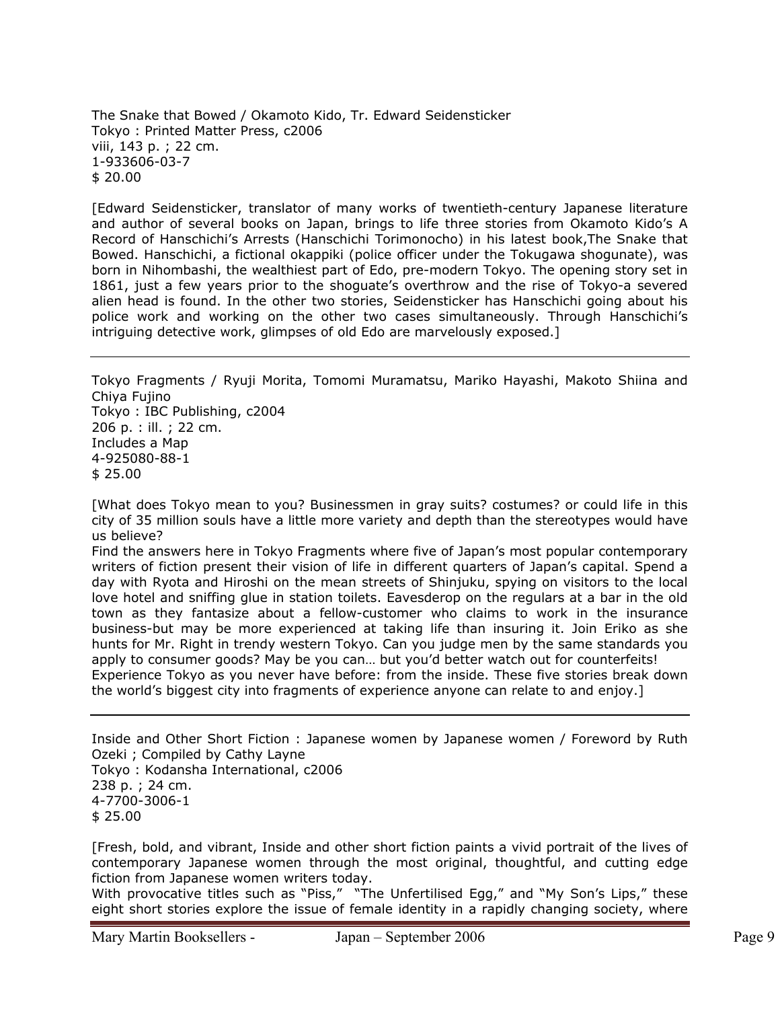The Snake that Bowed / Okamoto Kido, Tr. Edward Seidensticker Tokyo : Printed Matter Press, c2006 viii, 143 p. ; 22 cm. 1-933606-03-7 \$ 20.00

[Edward Seidensticker, translator of many works of twentieth-century Japanese literature and author of several books on Japan, brings to life three stories from Okamoto Kido's A Record of Hanschichi's Arrests (Hanschichi Torimonocho) in his latest book,The Snake that Bowed. Hanschichi, a fictional okappiki (police officer under the Tokugawa shogunate), was born in Nihombashi, the wealthiest part of Edo, pre-modern Tokyo. The opening story set in 1861, just a few years prior to the shoguate's overthrow and the rise of Tokyo-a severed alien head is found. In the other two stories, Seidensticker has Hanschichi going about his police work and working on the other two cases simultaneously. Through Hanschichi's intriguing detective work, glimpses of old Edo are marvelously exposed.]

Tokyo Fragments / Ryuji Morita, Tomomi Muramatsu, Mariko Hayashi, Makoto Shiina and Chiya Fujino Tokyo : IBC Publishing, c2004 206 p. : ill. ; 22 cm. Includes a Map 4-925080-88-1 \$ 25.00

[What does Tokyo mean to you? Businessmen in gray suits? costumes? or could life in this city of 35 million souls have a little more variety and depth than the stereotypes would have us believe?

Find the answers here in Tokyo Fragments where five of Japan's most popular contemporary writers of fiction present their vision of life in different quarters of Japan's capital. Spend a day with Ryota and Hiroshi on the mean streets of Shinjuku, spying on visitors to the local love hotel and sniffing glue in station toilets. Eavesderop on the regulars at a bar in the old town as they fantasize about a fellow-customer who claims to work in the insurance business-but may be more experienced at taking life than insuring it. Join Eriko as she hunts for Mr. Right in trendy western Tokyo. Can you judge men by the same standards you apply to consumer goods? May be you can… but you'd better watch out for counterfeits! Experience Tokyo as you never have before: from the inside. These five stories break down the world's biggest city into fragments of experience anyone can relate to and enjoy.]

Inside and Other Short Fiction : Japanese women by Japanese women / Foreword by Ruth Ozeki ; Compiled by Cathy Layne Tokyo : Kodansha International, c2006 238 p. ; 24 cm. 4-7700-3006-1

\$ 25.00

[Fresh, bold, and vibrant, Inside and other short fiction paints a vivid portrait of the lives of contemporary Japanese women through the most original, thoughtful, and cutting edge fiction from Japanese women writers today.

With provocative titles such as "Piss," "The Unfertilised Egg," and "My Son's Lips," these eight short stories explore the issue of female identity in a rapidly changing society, where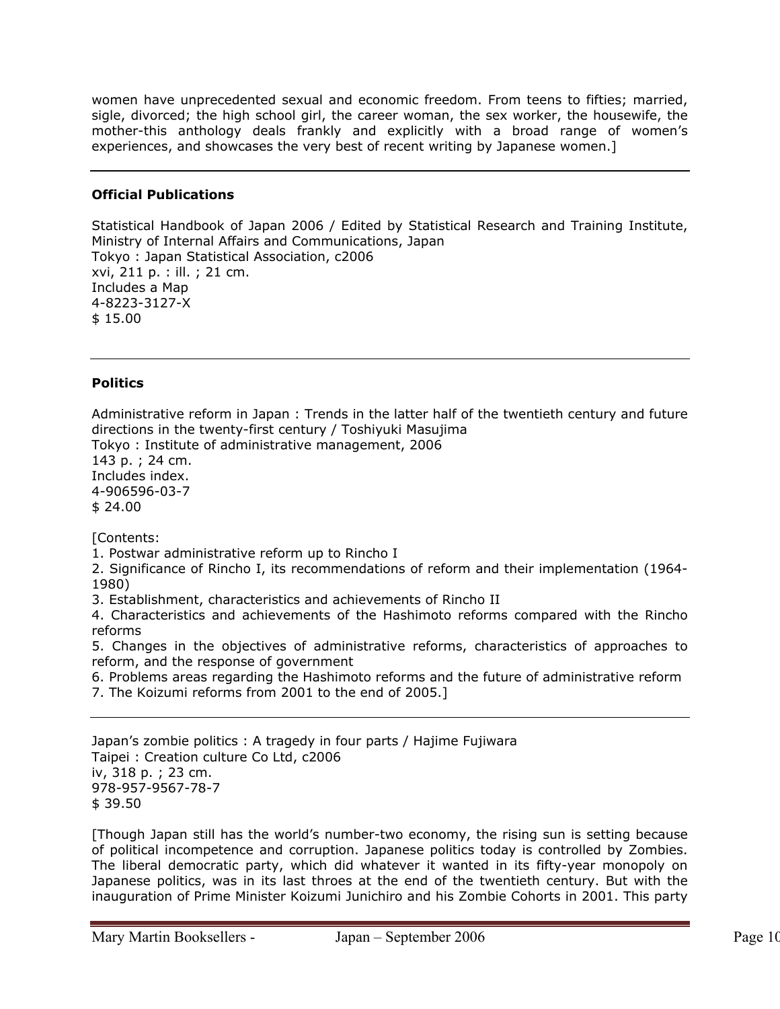women have unprecedented sexual and economic freedom. From teens to fifties; married, sigle, divorced; the high school girl, the career woman, the sex worker, the housewife, the mother-this anthology deals frankly and explicitly with a broad range of women's experiences, and showcases the very best of recent writing by Japanese women.]

### **Official Publications**

Statistical Handbook of Japan 2006 / Edited by Statistical Research and Training Institute, Ministry of Internal Affairs and Communications, Japan Tokyo : Japan Statistical Association, c2006 xvi, 211 p. : ill. ; 21 cm. Includes a Map 4-8223-3127-X \$ 15.00

### **Politics**

Administrative reform in Japan : Trends in the latter half of the twentieth century and future directions in the twenty-first century / Toshiyuki Masujima

Tokyo : Institute of administrative management, 2006 143 p. ; 24 cm. Includes index.

4-906596-03-7 \$ 24.00

[Contents:

1. Postwar administrative reform up to Rincho I

2. Significance of Rincho I, its recommendations of reform and their implementation (1964- 1980)

3. Establishment, characteristics and achievements of Rincho II

4. Characteristics and achievements of the Hashimoto reforms compared with the Rincho reforms

5. Changes in the objectives of administrative reforms, characteristics of approaches to reform, and the response of government

6. Problems areas regarding the Hashimoto reforms and the future of administrative reform

7. The Koizumi reforms from 2001 to the end of 2005.]

Japan's zombie politics : A tragedy in four parts / Hajime Fujiwara Taipei : Creation culture Co Ltd, c2006 iv, 318 p. ; 23 cm. 978-957-9567-78-7 \$ 39.50

[Though Japan still has the world's number-two economy, the rising sun is setting because of political incompetence and corruption. Japanese politics today is controlled by Zombies. The liberal democratic party, which did whatever it wanted in its fifty-year monopoly on Japanese politics, was in its last throes at the end of the twentieth century. But with the inauguration of Prime Minister Koizumi Junichiro and his Zombie Cohorts in 2001. This party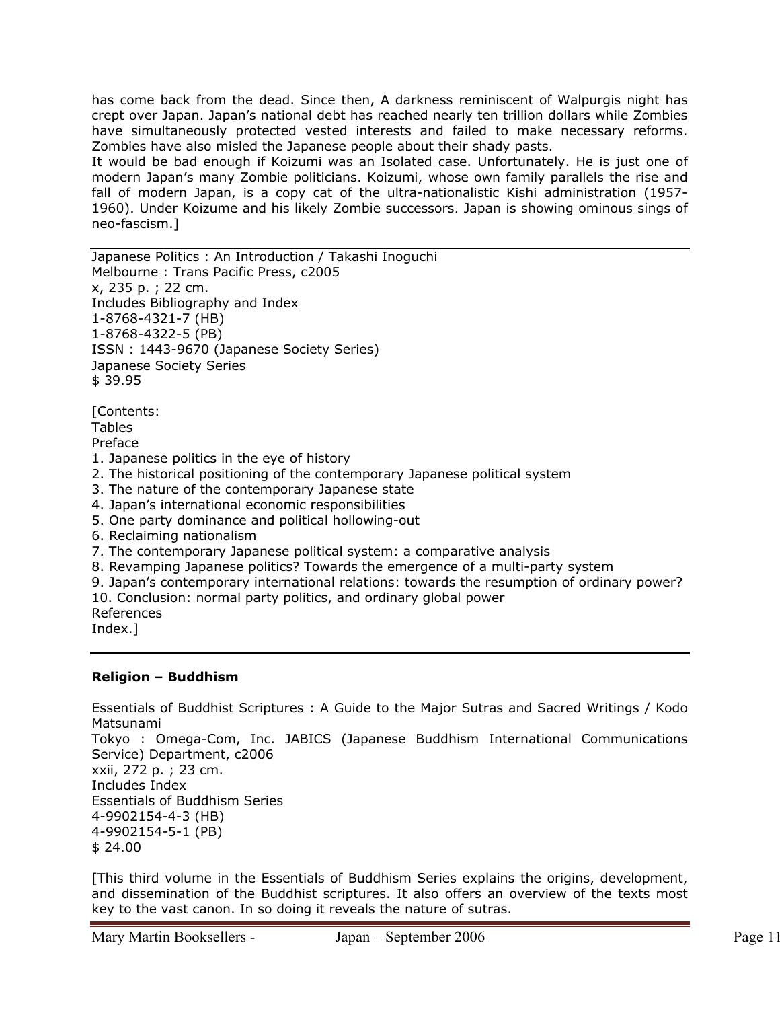has come back from the dead. Since then, A darkness reminiscent of Walpurgis night has crept over Japan. Japan's national debt has reached nearly ten trillion dollars while Zombies have simultaneously protected vested interests and failed to make necessary reforms. Zombies have also misled the Japanese people about their shady pasts.

It would be bad enough if Koizumi was an Isolated case. Unfortunately. He is just one of modern Japan's many Zombie politicians. Koizumi, whose own family parallels the rise and fall of modern Japan, is a copy cat of the ultra-nationalistic Kishi administration (1957- 1960). Under Koizume and his likely Zombie successors. Japan is showing ominous sings of neo-fascism.]

Japanese Politics : An Introduction / Takashi Inoguchi Melbourne : Trans Pacific Press, c2005 x, 235 p. ; 22 cm. Includes Bibliography and Index 1-8768-4321-7 (HB) 1-8768-4322-5 (PB) ISSN : 1443-9670 (Japanese Society Series) Japanese Society Series \$ 39.95 [Contents: Tables Preface 1. Japanese politics in the eye of history 2. The historical positioning of the contemporary Japanese political system 3. The nature of the contemporary Japanese state 4. Japan's international economic responsibilities 5. One party dominance and political hollowing-out 6. Reclaiming nationalism 7. The contemporary Japanese political system: a comparative analysis 8. Revamping Japanese politics? Towards the emergence of a multi-party system 9. Japan's contemporary international relations: towards the resumption of ordinary power? 10. Conclusion: normal party politics, and ordinary global power References

Index.]

### **Religion – Buddhism**

Essentials of Buddhist Scriptures : A Guide to the Major Sutras and Sacred Writings / Kodo Matsunami Tokyo : Omega-Com, Inc. JABICS (Japanese Buddhism International Communications Service) Department, c2006 xxii, 272 p. ; 23 cm. Includes Index Essentials of Buddhism Series 4-9902154-4-3 (HB) 4-9902154-5-1 (PB) \$ 24.00

[This third volume in the Essentials of Buddhism Series explains the origins, development, and dissemination of the Buddhist scriptures. It also offers an overview of the texts most key to the vast canon. In so doing it reveals the nature of sutras.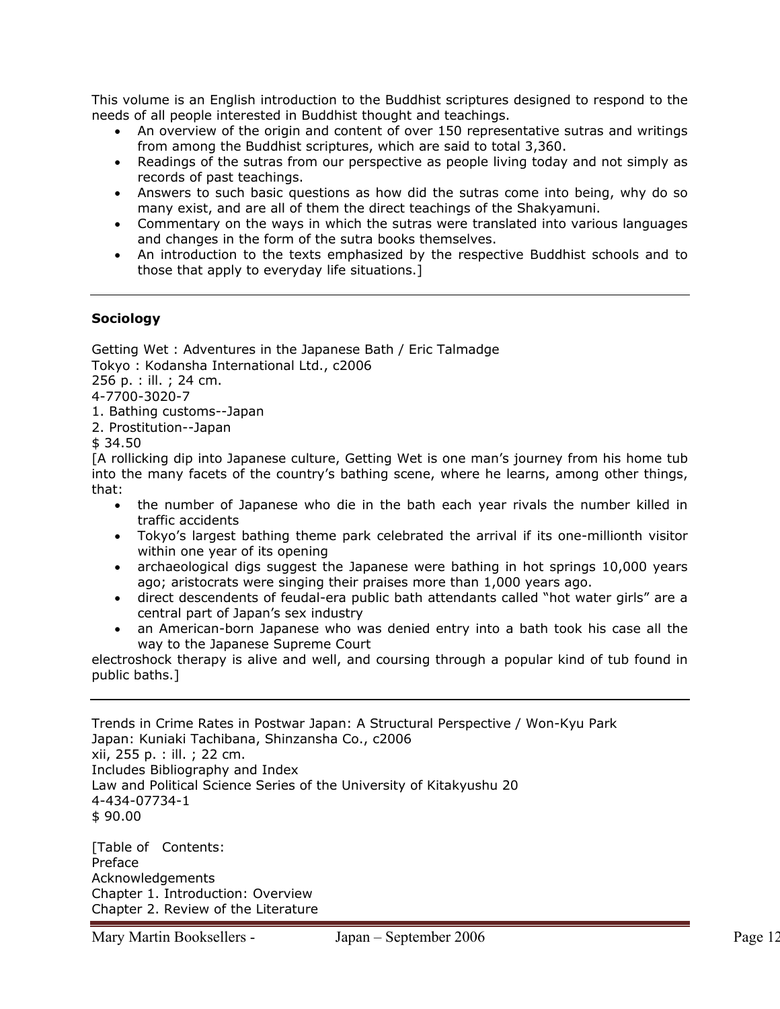This volume is an English introduction to the Buddhist scriptures designed to respond to the needs of all people interested in Buddhist thought and teachings.

- An overview of the origin and content of over 150 representative sutras and writings from among the Buddhist scriptures, which are said to total 3,360.
- Readings of the sutras from our perspective as people living today and not simply as records of past teachings.
- Answers to such basic questions as how did the sutras come into being, why do so many exist, and are all of them the direct teachings of the Shakyamuni.
- Commentary on the ways in which the sutras were translated into various languages and changes in the form of the sutra books themselves.
- An introduction to the texts emphasized by the respective Buddhist schools and to those that apply to everyday life situations.]

### **Sociology**

Getting Wet : Adventures in the Japanese Bath / Eric Talmadge Tokyo : Kodansha International Ltd., c2006 256 p. : ill. ; 24 cm. 4-7700-3020-7 1. Bathing customs--Japan

2. Prostitution--Japan

\$ 34.50

[A rollicking dip into Japanese culture, Getting Wet is one man's journey from his home tub into the many facets of the country's bathing scene, where he learns, among other things, that:

- the number of Japanese who die in the bath each year rivals the number killed in traffic accidents
- Tokyo's largest bathing theme park celebrated the arrival if its one-millionth visitor within one year of its opening
- archaeological digs suggest the Japanese were bathing in hot springs 10,000 years ago; aristocrats were singing their praises more than 1,000 years ago.
- direct descendents of feudal-era public bath attendants called "hot water girls" are a central part of Japan's sex industry
- an American-born Japanese who was denied entry into a bath took his case all the way to the Japanese Supreme Court

electroshock therapy is alive and well, and coursing through a popular kind of tub found in public baths.]

Trends in Crime Rates in Postwar Japan: A Structural Perspective / Won-Kyu Park Japan: Kuniaki Tachibana, Shinzansha Co., c2006 xii, 255 p. : ill. ; 22 cm. Includes Bibliography and Index Law and Political Science Series of the University of Kitakyushu 20 4-434-07734-1 \$ 90.00

[Table of Contents: Preface Acknowledgements Chapter 1. Introduction: Overview Chapter 2. Review of the Literature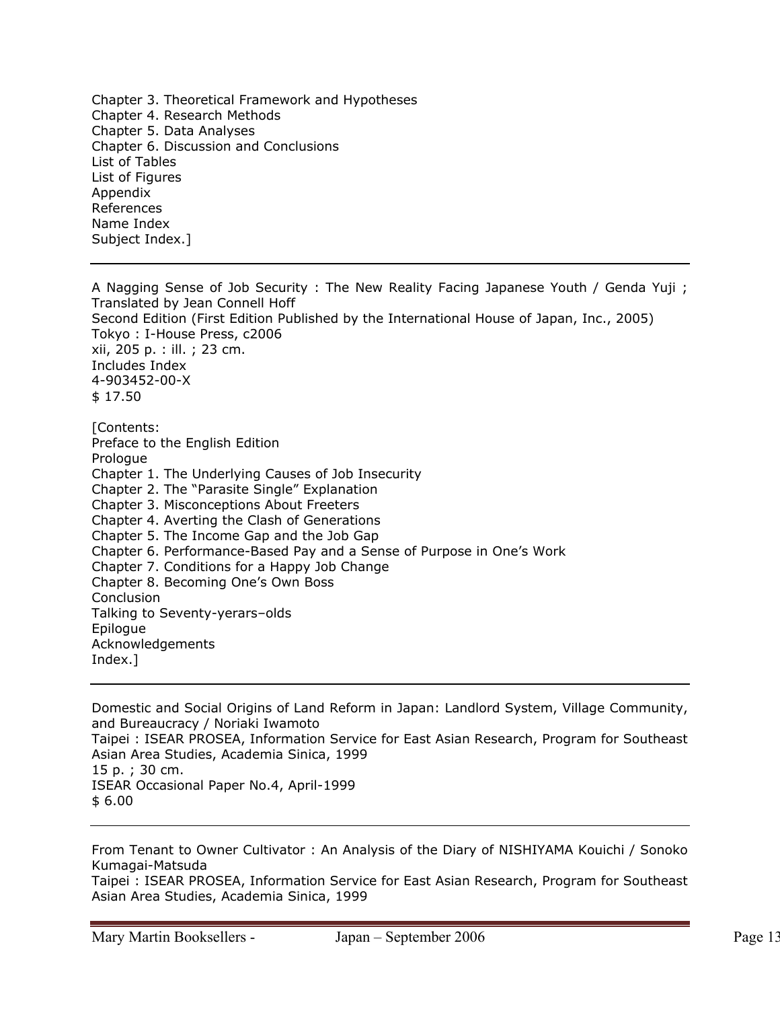Chapter 3. Theoretical Framework and Hypotheses Chapter 4. Research Methods Chapter 5. Data Analyses Chapter 6. Discussion and Conclusions List of Tables List of Figures Appendix References Name Index Subject Index.]

A Nagging Sense of Job Security : The New Reality Facing Japanese Youth / Genda Yuji ; Translated by Jean Connell Hoff Second Edition (First Edition Published by the International House of Japan, Inc., 2005) Tokyo : I-House Press, c2006 xii, 205 p. : ill. ; 23 cm. Includes Index 4-903452-00-X \$ 17.50

[Contents: Preface to the English Edition Prologue Chapter 1. The Underlying Causes of Job Insecurity Chapter 2. The "Parasite Single" Explanation Chapter 3. Misconceptions About Freeters Chapter 4. Averting the Clash of Generations Chapter 5. The Income Gap and the Job Gap Chapter 6. Performance-Based Pay and a Sense of Purpose in One's Work Chapter 7. Conditions for a Happy Job Change Chapter 8. Becoming One's Own Boss **Conclusion** Talking to Seventy-yerars–olds Epilogue Acknowledgements Index.]

Domestic and Social Origins of Land Reform in Japan: Landlord System, Village Community, and Bureaucracy / Noriaki Iwamoto Taipei : ISEAR PROSEA, Information Service for East Asian Research, Program for Southeast Asian Area Studies, Academia Sinica, 1999 15 p. ; 30 cm. ISEAR Occasional Paper No.4, April-1999 \$ 6.00

From Tenant to Owner Cultivator : An Analysis of the Diary of NISHIYAMA Kouichi / Sonoko Kumagai-Matsuda

Taipei : ISEAR PROSEA, Information Service for East Asian Research, Program for Southeast Asian Area Studies, Academia Sinica, 1999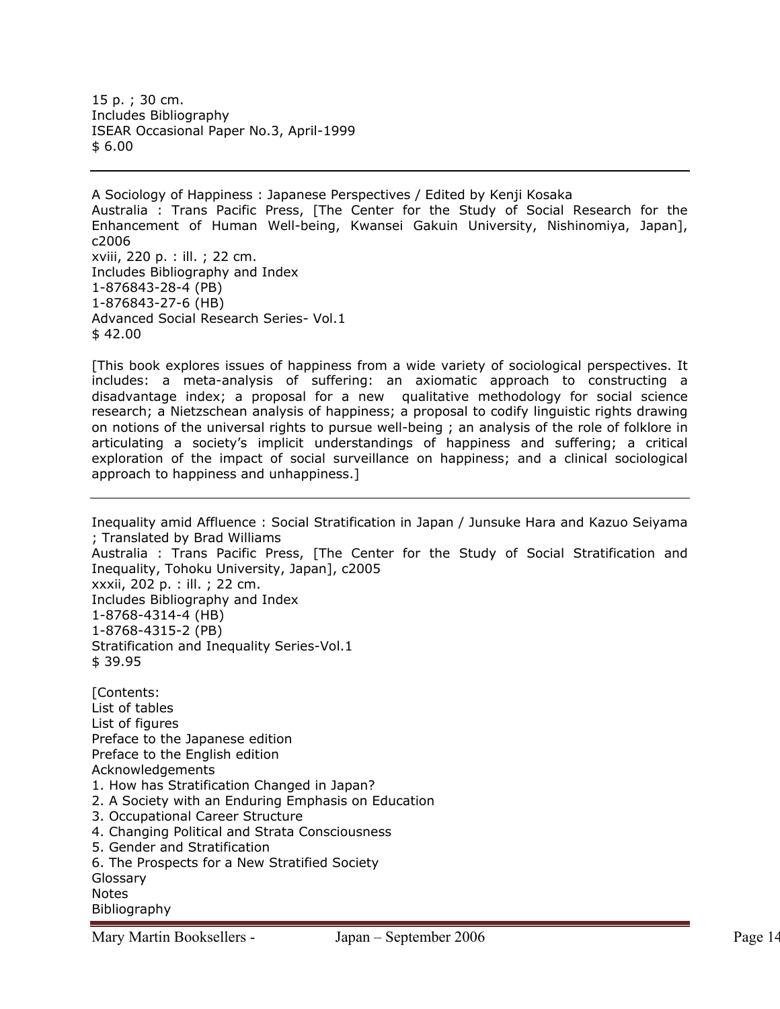15 p. ; 30 cm. Includes Bibliography ISEAR Occasional Paper No.3, April-1999 \$ 6.00

A Sociology of Happiness : Japanese Perspectives / Edited by Kenji Kosaka Australia : Trans Pacific Press, [The Center for the Study of Social Research for the Enhancement of Human Well-being, Kwansei Gakuin University, Nishinomiya, Japan], c2006 xviii, 220 p. : ill. ; 22 cm. Includes Bibliography and Index 1-876843-28-4 (PB) 1-876843-27-6 (HB) Advanced Social Research Series- Vol.1 \$ 42.00

[This book explores issues of happiness from a wide variety of sociological perspectives. It includes: a meta-analysis of suffering: an axiomatic approach to constructing a disadvantage index; a proposal for a new qualitative methodology for social science research; a Nietzschean analysis of happiness; a proposal to codify linguistic rights drawing on notions of the universal rights to pursue well-being ; an analysis of the role of folklore in articulating a society's implicit understandings of happiness and suffering; a critical exploration of the impact of social surveillance on happiness; and a clinical sociological approach to happiness and unhappiness.]

Inequality amid Affluence : Social Stratification in Japan / Junsuke Hara and Kazuo Seiyama ; Translated by Brad Williams Australia : Trans Pacific Press, [The Center for the Study of Social Stratification and Inequality, Tohoku University, Japan], c2005 xxxii, 202 p. : ill. ; 22 cm. Includes Bibliography and Index 1-8768-4314-4 (HB) 1-8768-4315-2 (PB) Stratification and Inequality Series-Vol.1 \$ 39.95

[Contents: List of tables List of figures Preface to the Japanese edition Preface to the English edition Acknowledgements 1. How has Stratification Changed in Japan? 2. A Society with an Enduring Emphasis on Education 3. Occupational Career Structure 4. Changing Political and Strata Consciousness 5. Gender and Stratification 6. The Prospects for a New Stratified Society Glossary Notes Bibliography